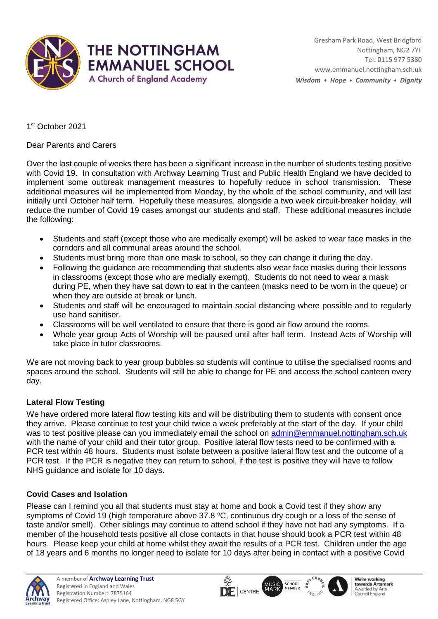

1 st October 2021

Dear Parents and Carers

Over the last couple of weeks there has been a significant increase in the number of students testing positive with Covid 19. In consultation with Archway Learning Trust and Public Health England we have decided to implement some outbreak management measures to hopefully reduce in school transmission. These additional measures will be implemented from Monday, by the whole of the school community, and will last initially until October half term. Hopefully these measures, alongside a two week circuit-breaker holiday, will reduce the number of Covid 19 cases amongst our students and staff. These additional measures include the following:

- Students and staff (except those who are medically exempt) will be asked to wear face masks in the corridors and all communal areas around the school.
- Students must bring more than one mask to school, so they can change it during the day.
- Following the guidance are recommending that students also wear face masks during their lessons in classrooms (except those who are medially exempt). Students do not need to wear a mask during PE, when they have sat down to eat in the canteen (masks need to be worn in the queue) or when they are outside at break or lunch.
- Students and staff will be encouraged to maintain social distancing where possible and to regularly use hand sanitiser.
- Classrooms will be well ventilated to ensure that there is good air flow around the rooms.
- Whole year group Acts of Worship will be paused until after half term. Instead Acts of Worship will take place in tutor classrooms.

We are not moving back to year group bubbles so students will continue to utilise the specialised rooms and spaces around the school. Students will still be able to change for PE and access the school canteen every day.

## **Lateral Flow Testing**

We have ordered more lateral flow testing kits and will be distributing them to students with consent once they arrive. Please continue to test your child twice a week preferably at the start of the day. If your child was to test positive please can you immediately email the school on [admin@emmanuel.nottingham.sch.uk](mailto:admin@emmanuel.nottingham.sch.uk) with the name of your child and their tutor group. Positive lateral flow tests need to be confirmed with a PCR test within 48 hours. Students must isolate between a positive lateral flow test and the outcome of a PCR test. If the PCR is negative they can return to school, if the test is positive they will have to follow NHS guidance and isolate for 10 days.

## **Covid Cases and Isolation**

Please can I remind you all that students must stay at home and book a Covid test if they show any symptoms of Covid 19 (high temperature above  $37.8 \degree C$ , continuous dry cough or a loss of the sense of taste and/or smell). Other siblings may continue to attend school if they have not had any symptoms. If a member of the household tests positive all close contacts in that house should book a PCR test within 48 hours. Please keep your child at home whilst they await the results of a PCR test. Children under the age of 18 years and 6 months no longer need to isolate for 10 days after being in contact with a positive Covid

 $\overline{\mathsf{Q}}$ 







We're working<br>towards Artsmark Awarded by Arts Council England